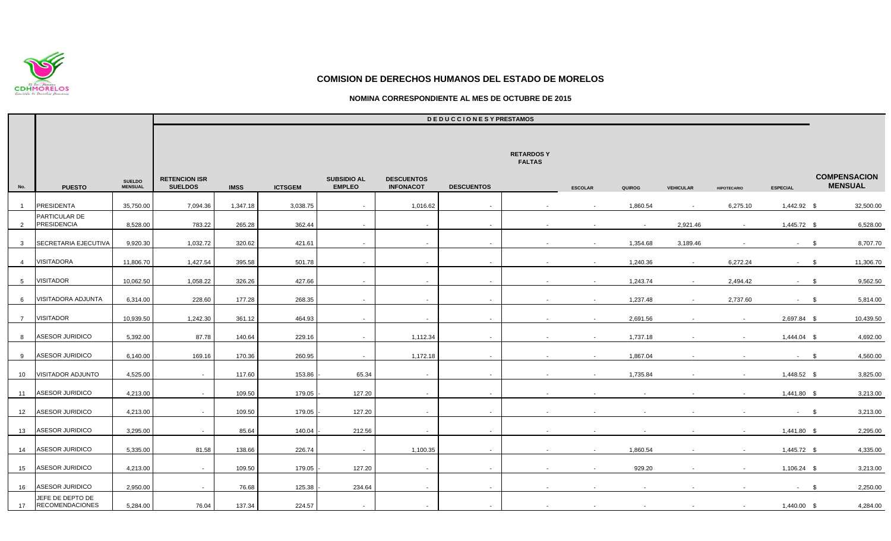

## **NOMINA CORRESPONDIENTE AL MES DE OCTUBRE DE 2015**

|                |                                            |                                 |                                        |             |                |                                     |                                       | <b>DEDUCCIONESY PRESTAMOS</b> |                                   |                |          |                  |                    |                 |                                       |
|----------------|--------------------------------------------|---------------------------------|----------------------------------------|-------------|----------------|-------------------------------------|---------------------------------------|-------------------------------|-----------------------------------|----------------|----------|------------------|--------------------|-----------------|---------------------------------------|
|                |                                            |                                 |                                        |             |                |                                     |                                       |                               | <b>RETARDOSY</b><br><b>FALTAS</b> |                |          |                  |                    |                 |                                       |
| No.            | <b>PUESTO</b>                              | <b>SUELDO</b><br><b>MENSUAL</b> | <b>RETENCION ISR</b><br><b>SUELDOS</b> | <b>IMSS</b> | <b>ICTSGEM</b> | <b>SUBSIDIO AL</b><br><b>EMPLEO</b> | <b>DESCUENTOS</b><br><b>INFONACOT</b> | <b>DESCUENTOS</b>             |                                   | <b>ESCOLAR</b> | QUIROG   | <b>VEHICULAR</b> | <b>HIPOTECARIO</b> | <b>ESPECIAL</b> | <b>COMPENSACION</b><br><b>MENSUAL</b> |
| $\overline{1}$ | <b>PRESIDENTA</b>                          | 35,750.00                       | 7,094.36                               | 1,347.18    | 3,038.75       | $\sim$                              | 1,016.62                              | $\sim$                        |                                   | $\sim$         | 1,860.54 | $\sim$           | 6,275.10           | 1,442.92 \$     | 32,500.00                             |
| $\overline{2}$ | PARTICULAR DE<br><b>PRESIDENCIA</b>        | 8,528.00                        | 783.22                                 | 265.28      | 362.44         | $\sim$                              | $\sim$                                | $\sim$                        |                                   | $\sim$         | $\sim$   | 2,921.46         | $\sim$             | 1,445.72 \$     | 6,528.00                              |
| 3 <sup>3</sup> | SECRETARIA EJECUTIVA                       | 9,920.30                        | 1,032.72                               | 320.62      | 421.61         | $\sim$                              | $\sim$                                | $\sim$                        | $\sim$                            | $\sim$         | 1,354.68 | 3,189.46         |                    | $-$ \$          | 8,707.70                              |
| $\overline{4}$ | <b>VISITADORA</b>                          | 11,806.70                       | 1,427.54                               | 395.58      | 501.78         | $\sim$                              | $\sim$                                | $\sim$                        | $\sim$                            | $\sim$         | 1,240.36 | $\sim$           | 6,272.24           | $-5$            | 11,306.70                             |
| 5 <sub>5</sub> | <b>VISITADOR</b>                           | 10,062.50                       | 1,058.22                               | 326.26      | 427.66         | $\sim$                              | $\sim$                                | $\sim$                        | $\sim$                            | $\sim$         | 1,243.74 | $\sim$           | 2,494.42           | $-$ \$          | 9,562.50                              |
| 6              | <b>VISITADORA ADJUNTA</b>                  | 6,314.00                        | 228.60                                 | 177.28      | 268.35         | $\sim$                              | $\sim$                                | $\sim$                        |                                   | $\sim$         | 1,237.48 | $\sim$           | 2,737.60           | $-$ \$          | 5,814.00                              |
| $7\overline{}$ | <b>VISITADOR</b>                           | 10,939.50                       | 1,242.30                               | 361.12      | 464.93         | $\sim$                              | $\sim$                                | $\sim$                        |                                   | $\sim$         | 2,691.56 |                  | $\sim$             | 2,697.84 \$     | 10,439.50                             |
| 8              | <b>ASESOR JURIDICO</b>                     | 5,392.00                        | 87.78                                  | 140.64      | 229.16         | $\sim$                              | 1,112.34                              | $\sim$                        |                                   | $\sim$         | 1,737.18 |                  |                    | 1,444.04 \$     | 4,692.00                              |
| 9              | <b>ASESOR JURIDICO</b>                     | 6,140.00                        | 169.16                                 | 170.36      | 260.95         | $\sim$                              | 1,172.18                              | $\sim$                        | $\sim$                            | $\sim$         | 1,867.04 |                  |                    | $-5$            | 4,560.00                              |
| 10             | <b>VISITADOR ADJUNTO</b>                   | 4,525.00                        | $\sim$                                 | 117.60      | 153.86         | 65.34                               | $\sim$                                | $\sim$                        |                                   |                | 1,735.84 |                  |                    | 1,448.52 \$     | 3,825.00                              |
| 11             | <b>ASESOR JURIDICO</b>                     | 4,213.00                        | $\sim$                                 | 109.50      | 179.05         | 127.20                              | $\sim$                                | $\sim$                        |                                   |                |          |                  |                    | 1,441.80 \$     | 3,213.00                              |
| 12             | ASESOR JURIDICO                            | 4,213.00                        | $\sim$                                 | 109.50      | 179.05         | 127.20                              | $\sim$                                | $\sim$                        |                                   |                |          |                  |                    | $-$ \$          | 3,213.00                              |
| 13             | <b>ASESOR JURIDICO</b>                     | 3,295.00                        | $\sim$                                 | 85.64       | 140.04         | 212.56                              | $\sim$                                | $\sim$                        |                                   |                |          |                  |                    | 1,441.80 \$     | 2,295.00                              |
| 14             | <b>ASESOR JURIDICO</b>                     | 5,335.00                        | 81.58                                  | 138.66      | 226.74         | $\sim$                              | 1,100.35                              | $\sim$                        |                                   |                | 1,860.54 |                  |                    | 1,445.72 \$     | 4,335.00                              |
| 15             | ASESOR JURIDICO                            | 4,213.00                        | $\sim$                                 | 109.50      | 179.05         | 127.20                              | $\sim$                                | $\sim$                        |                                   | $\sim$         | 929.20   |                  |                    | 1,106.24 \$     | 3,213.00                              |
| 16             | <b>ASESOR JURIDICO</b>                     | 2,950.00                        | $\sim$                                 | 76.68       | 125.38         | 234.64                              | $\sim$                                | $\sim$                        |                                   |                |          |                  |                    | $-$ \$          | 2,250.00                              |
| 17             | JEFE DE DEPTO DE<br><b>RECOMENDACIONES</b> | 5,284.00                        | 76.04                                  | 137.34      | 224.57         | $\sim$                              | $\sim$                                | $\sim$                        |                                   |                |          |                  |                    | 1,440.00 \$     | 4,284.00                              |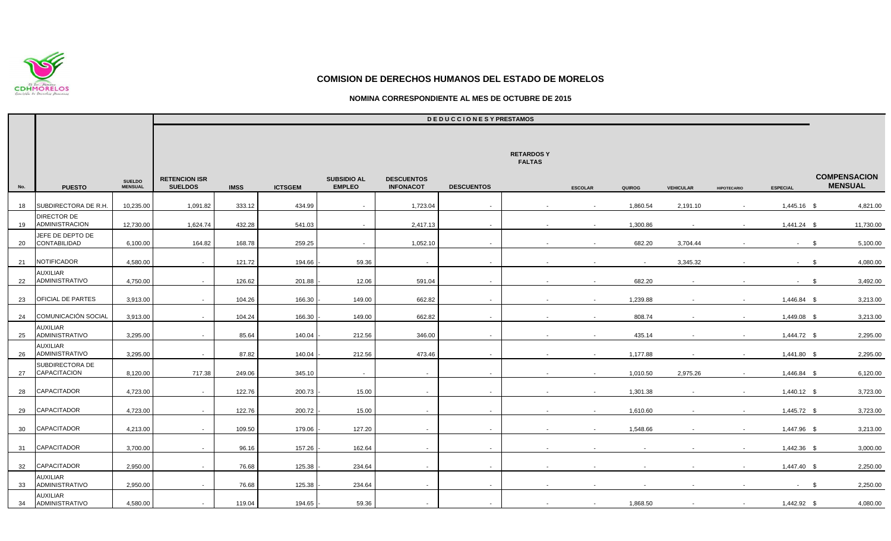

## **NOMINA CORRESPONDIENTE AL MES DE OCTUBRE DE 2015**

|     |                                        |                                 | <b>DEDUCCIONESYPRESTAMOS</b>           |             |                |                                     |                                       |                   |                                   |                |                |                  |                    |                 |                                       |
|-----|----------------------------------------|---------------------------------|----------------------------------------|-------------|----------------|-------------------------------------|---------------------------------------|-------------------|-----------------------------------|----------------|----------------|------------------|--------------------|-----------------|---------------------------------------|
|     |                                        |                                 |                                        |             |                |                                     |                                       |                   | <b>RETARDOSY</b><br><b>FALTAS</b> |                |                |                  |                    |                 |                                       |
| No. | <b>PUESTO</b>                          | <b>SUELDO</b><br><b>MENSUAL</b> | <b>RETENCION ISR</b><br><b>SUELDOS</b> | <b>IMSS</b> | <b>ICTSGEM</b> | <b>SUBSIDIO AL</b><br><b>EMPLEO</b> | <b>DESCUENTOS</b><br><b>INFONACOT</b> | <b>DESCUENTOS</b> |                                   | <b>ESCOLAR</b> | QUIROG         | <b>VEHICULAR</b> | <b>HIPOTECARIO</b> | <b>ESPECIAL</b> | <b>COMPENSACION</b><br><b>MENSUAL</b> |
| 18  | SUBDIRECTORA DE R.H                    | 10,235.00                       | 1,091.82                               | 333.12      | 434.99         | $\sim$                              | 1,723.04                              | $\sim$            |                                   |                | 1,860.54       | 2,191.10         |                    | 1,445.16 \$     | 4,821.00                              |
| 19  | <b>DIRECTOR DE</b><br>ADMINISTRACION   | 12,730.00                       | 1,624.74                               | 432.28      | 541.03         | $\sim$                              | 2,417.13                              | $\sim$            |                                   | $\sim$         | 1,300.86       |                  |                    | 1,441.24 \$     | 11,730.00                             |
| 20  | JEFE DE DEPTO DE<br>CONTABILIDAD       | 6,100.00                        | 164.82                                 | 168.78      | 259.25         | $\sim$                              | 1,052.10                              | $\sim$            |                                   | $\sim$         | 682.20         | 3,704.44         |                    | $-$ \$          | 5,100.00                              |
| 21  | NOTIFICADOR                            | 4,580.00                        | $\sim$                                 | 121.72      | 194.66         | 59.36                               | $\sim$                                | $\sim$            |                                   | $\sim$         | $\blacksquare$ | 3,345.32         |                    | $-$ \$          | 4,080.00                              |
| 22  | AUXILIAR<br>ADMINISTRATIVO             | 4,750.00                        | $\sim$                                 | 126.62      | 201.88         | 12.06                               | 591.04                                |                   |                                   | $\sim$         | 682.20         |                  |                    | $\sim$          | 3,492.00<br>- \$                      |
| 23  | OFICIAL DE PARTES                      | 3,913.00                        | $\sim$                                 | 104.26      | 166.30         | 149.00                              | 662.82                                | $\sim$            |                                   | $\sim$         | 1,239.88       |                  |                    | 1,446.84 \$     | 3,213.00                              |
| 24  | <b>COMUNICACIÓN SOCIAL</b>             | 3,913.00                        | $\sim$                                 | 104.24      | 166.30         | 149.00                              | 662.82                                | $\sim$            |                                   | $\sim$         | 808.74         |                  |                    | 1,449.08 \$     | 3,213.00                              |
| 25  | <b>AUXILIAR</b><br>ADMINISTRATIVO      | 3,295.00                        | $\sim$                                 | 85.64       | 140.04         | 212.56                              | 346.00                                | $\sim$            |                                   | $\sim$         | 435.14         |                  |                    | 1,444.72 \$     | 2,295.00                              |
| 26  | AUXILIAR<br><b>ADMINISTRATIVO</b>      | 3,295.00                        | $\sim$                                 | 87.82       | 140.04         | 212.56                              | 473.46                                | $\sim$            |                                   | $\sim$         | 1,177.88       |                  |                    | 1,441.80 \$     | 2,295.00                              |
| 27  | SUBDIRECTORA DE<br><b>CAPACITACION</b> | 8,120.00                        | 717.38                                 | 249.06      | 345.10         | $\sim$                              | $\sim$                                | $\sim$            |                                   | $\sim$         | 1,010.50       | 2,975.26         |                    | 1,446.84 \$     | 6,120.00                              |
| 28  | <b>CAPACITADOR</b>                     | 4,723.00                        | $\sim$                                 | 122.76      | 200.73         | 15.00                               | $\sim$                                | $\sim$            |                                   | $\sim$         | 1,301.38       |                  |                    | $1,440.12$ \$   | 3,723.00                              |
| 29  | CAPACITADOR                            | 4,723.00                        | $\sim$                                 | 122.76      | 200.72         | 15.00                               | $\sim$                                | $\sim$            |                                   | $\sim$         | 1,610.60       |                  | $\blacksquare$     | 1,445.72 \$     | 3,723.00                              |
| 30  | <b>CAPACITADOR</b>                     | 4,213.00                        | $\sim$                                 | 109.50      | 179.06         | 127.20                              |                                       |                   |                                   |                | 1,548.66       |                  |                    | 1,447.96 \$     | 3,213.00                              |
| 31  | <b>CAPACITADOR</b>                     | 3,700.00                        | $\sim$                                 | 96.16       | 157.26         | 162.64                              | $\sim$                                | $\sim$            |                                   |                |                |                  |                    | 1,442.36 \$     | 3,000.00                              |
| 32  | <b>CAPACITADOR</b>                     | 2,950.00                        | $\sim$                                 | 76.68       | 125.38         | 234.64                              |                                       |                   |                                   |                |                |                  |                    | 1,447.40 \$     | 2,250.00                              |
| 33  | AUXILIAR<br><b>ADMINISTRATIVO</b>      | 2,950.00                        | $\sim$                                 | 76.68       | 125.38         | 234.64                              | $\sim$                                | $\sim$            |                                   | $\sim$         |                |                  |                    | $-$ \$          | 2,250.00                              |
| 34  | AUXILIAR<br><b>ADMINISTRATIVO</b>      | 4,580.00                        | $\sim$                                 | 119.04      | 194.65         | 59.36                               | $\sim$                                |                   | $\sim$                            | $\sim$         | 1,868.50       | $\sim$           | $\sim$             | 1,442.92 \$     | 4,080.00                              |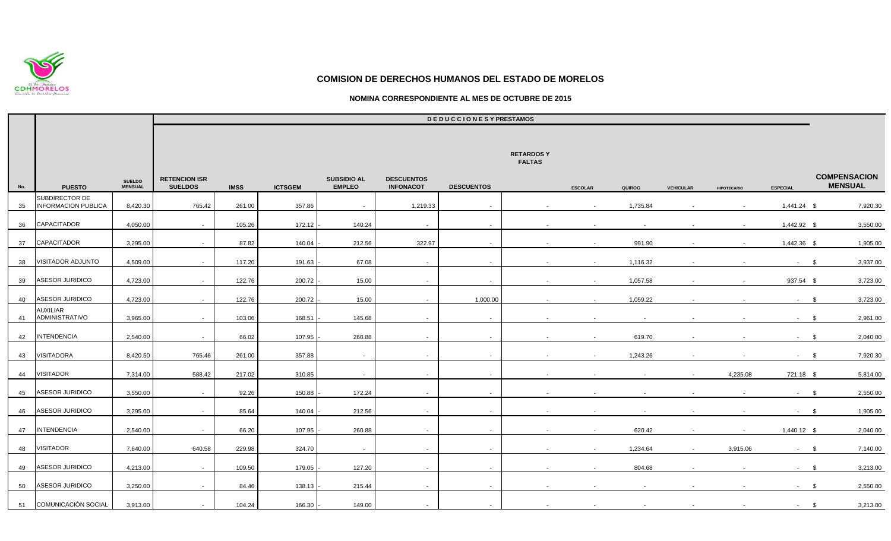

## **NOMINA CORRESPONDIENTE AL MES DE OCTUBRE DE 2015**

|     |                                              |                                 |                                        |             |                |                                     |                                       | <b>DEDUCCIONESY PRESTAMOS</b> |                                   |                |          |                  |                    |                 |                                       |
|-----|----------------------------------------------|---------------------------------|----------------------------------------|-------------|----------------|-------------------------------------|---------------------------------------|-------------------------------|-----------------------------------|----------------|----------|------------------|--------------------|-----------------|---------------------------------------|
|     |                                              |                                 |                                        |             |                |                                     |                                       |                               | <b>RETARDOSY</b><br><b>FALTAS</b> |                |          |                  |                    |                 |                                       |
| No. | <b>PUESTO</b>                                | <b>SUELDO</b><br><b>MENSUAL</b> | <b>RETENCION ISR</b><br><b>SUELDOS</b> | <b>IMSS</b> | <b>ICTSGEM</b> | <b>SUBSIDIO AL</b><br><b>EMPLEO</b> | <b>DESCUENTOS</b><br><b>INFONACOT</b> | <b>DESCUENTOS</b>             |                                   | <b>ESCOLAR</b> | QUIROG   | <b>VEHICULAR</b> | <b>HIPOTECARIO</b> | <b>ESPECIAL</b> | <b>COMPENSACION</b><br><b>MENSUAL</b> |
| 35  | SUBDIRECTOR DE<br><b>INFORMACION PUBLICA</b> | 8,420.30                        | 765.42                                 | 261.00      | 357.86         | $\sim$                              | 1,219.33                              | $\sim$                        |                                   | $\sim$         | 1,735.84 |                  |                    | $1,441.24$ \$   | 7,920.30                              |
| 36  | CAPACITADOR                                  | 4,050.00                        | $\sim$                                 | 105.26      | 172.12         | 140.24                              | $\sim$                                | $\sim$                        |                                   | $\blacksquare$ |          |                  |                    | 1,442.92 \$     | 3,550.00                              |
| 37  | <b>CAPACITADOR</b>                           | 3,295.00                        | $\sim$                                 | 87.82       | 140.04         | 212.56                              | 322.97                                | $\sim$                        |                                   | $\sim$         | 991.90   |                  |                    | 1,442.36 \$     | 1,905.00                              |
| 38  | <b>VISITADOR ADJUNTO</b>                     | 4,509.00                        | $\sim$                                 | 117.20      | 191.63         | 67.08                               | $\sim$                                | $\sim$                        |                                   | $\sim$         | 1,116.32 |                  |                    | $\sim 100$      | 3,937.00<br>- \$                      |
| 39  | <b>ASESOR JURIDICO</b>                       | 4,723.00                        | $\sim$                                 | 122.76      | 200.72         | 15.00                               | $\sim$                                | $\sim$                        |                                   | $\sim$         | 1,057.58 |                  |                    | 937.54 \$       | 3,723.00                              |
| 40  | <b>ASESOR JURIDICO</b>                       | 4,723.00                        | $\sim$                                 | 122.76      | 200.72         | 15.00                               | $\sim$                                | 1,000.00                      |                                   |                | 1,059.22 |                  |                    | $\sim 100$      | 3,723.00<br>- \$                      |
| 41  | <b>AUXILIAR</b><br><b>ADMINISTRATIVO</b>     | 3,965.00                        | $\sim$                                 | 103.06      | 168.51         | 145.68                              | $\sim$                                | $\sim$                        |                                   |                |          |                  |                    | $-$ \$          | 2,961.00                              |
| 42  | <b>INTENDENCIA</b>                           | 2,540.00                        | $\sim$                                 | 66.02       | 107.95         | 260.88                              | $\sim$                                | $\sim$                        |                                   | $\sim$         | 619.70   |                  |                    | $-$ \$          | 2,040.00                              |
| 43  | <b>VISITADORA</b>                            | 8,420.50                        | 765.46                                 | 261.00      | 357.88         | $\sim$                              | $\sim$                                | $\sim$                        |                                   | $\sim$         | 1,243.26 |                  |                    | $\sim 100$      | 7,920.30<br>\$                        |
| 44  | <b>VISITADOR</b>                             | 7,314.00                        | 588.42                                 | 217.02      | 310.85         | $\sim$                              | $\sim$                                | $\sim$                        |                                   |                |          |                  | 4,235.08           | 721.18 \$       | 5,814.00                              |
| 45  | <b>ASESOR JURIDICO</b>                       | 3,550.00                        | $\sim$                                 | 92.26       | 150.88         | 172.24                              | $\sim$                                | $\sim$                        |                                   |                |          |                  |                    | $-$ \$          | 2,550.00                              |
| 46  | <b>ASESOR JURIDICO</b>                       | 3,295.00                        | $\sim$                                 | 85.64       | 140.04         | 212.56                              | $\sim$                                | $\sim$                        | $\sim$                            | $\sim$         | $\sim$   |                  |                    | $-$ \$          | 1,905.00                              |
| 47  | <b>INTENDENCIA</b>                           | 2,540.00                        | $\sim$                                 | 66.20       | 107.95         | 260.88                              | $\sim$                                | $\sim$                        | $\sim$                            | $\sim$         | 620.42   |                  |                    | 1,440.12 \$     | 2,040.00                              |
| 48  | <b>VISITADOR</b>                             | 7,640.00                        | 640.58                                 | 229.98      | 324.70         | $\sim$                              | $\sim$                                | $\sim$                        |                                   | $\sim$         | 1,234.64 | $\sim$           | 3,915.06           | $-$ \$          | 7,140.00                              |
| 49  | <b>ASESOR JURIDICO</b>                       | 4,213.00                        | $\sim$                                 | 109.50      | 179.05         | 127.20                              | $\sim$                                | $\sim$                        |                                   | $\sim$         | 804.68   |                  |                    | $\sim$          | 3,213.00<br>- \$                      |
| 50  | ASESOR JURIDICO                              | 3,250.00                        | $\sim$                                 | 84.46       | 138.13         | 215.44                              | $\sim$                                | $\sim$                        | $\sim$                            |                |          |                  |                    | $-$ \$          | 2,550.00                              |
| 51  | <b>COMUNICACIÓN SOCIAL</b>                   | 3,913.00                        | $\sim$                                 | 104.24      | 166.30         | 149.00                              | $\sim$                                | $\sim$                        |                                   |                |          |                  |                    | $-$ \$          | 3,213.00                              |